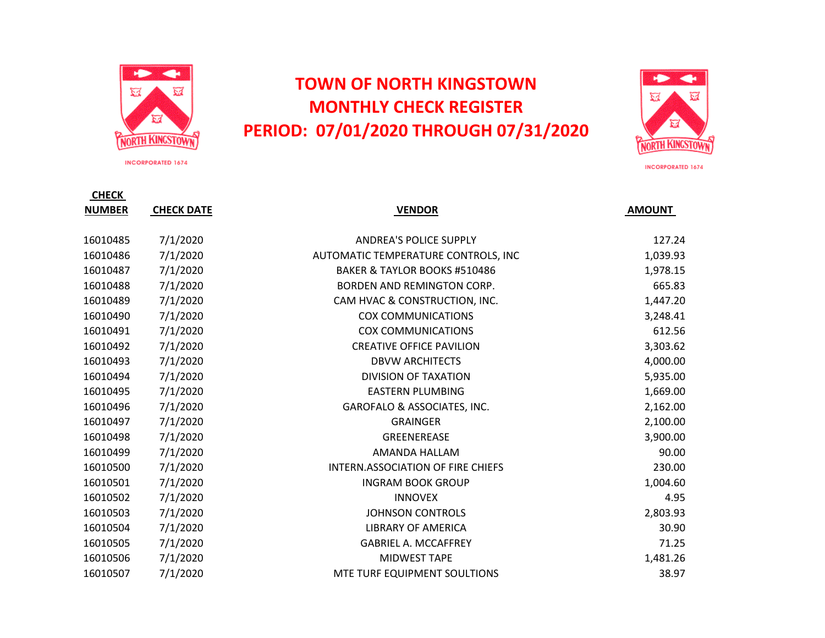

**INCORPORATED 1674** 

## **TOWN OF NORTH KINGSTOWN MONTHLY CHECK REGISTER PERIOD: 07/01/2020 THROUGH 07/31/2020**



**INCORPORATED 1674** 

| <b>CHECK</b>  |                   |                                     |               |
|---------------|-------------------|-------------------------------------|---------------|
| <b>NUMBER</b> | <b>CHECK DATE</b> | <b>VENDOR</b>                       | <b>AMOUNT</b> |
|               |                   |                                     |               |
| 16010485      | 7/1/2020          | <b>ANDREA'S POLICE SUPPLY</b>       | 127.24        |
| 16010486      | 7/1/2020          | AUTOMATIC TEMPERATURE CONTROLS, INC | 1,039.93      |
| 16010487      | 7/1/2020          | BAKER & TAYLOR BOOKS #510486        | 1,978.15      |
| 16010488      | 7/1/2020          | BORDEN AND REMINGTON CORP.          | 665.83        |
| 16010489      | 7/1/2020          | CAM HVAC & CONSTRUCTION, INC.       | 1,447.20      |
| 16010490      | 7/1/2020          | <b>COX COMMUNICATIONS</b>           | 3,248.41      |
| 16010491      | 7/1/2020          | <b>COX COMMUNICATIONS</b>           | 612.56        |
| 16010492      | 7/1/2020          | <b>CREATIVE OFFICE PAVILION</b>     | 3,303.62      |
| 16010493      | 7/1/2020          | <b>DBVW ARCHITECTS</b>              | 4,000.00      |
| 16010494      | 7/1/2020          | <b>DIVISION OF TAXATION</b>         | 5,935.00      |
| 16010495      | 7/1/2020          | <b>EASTERN PLUMBING</b>             | 1,669.00      |
| 16010496      | 7/1/2020          | GAROFALO & ASSOCIATES, INC.         | 2,162.00      |
| 16010497      | 7/1/2020          | <b>GRAINGER</b>                     | 2,100.00      |
| 16010498      | 7/1/2020          | GREENEREASE                         | 3,900.00      |
| 16010499      | 7/1/2020          | AMANDA HALLAM                       | 90.00         |
| 16010500      | 7/1/2020          | INTERN.ASSOCIATION OF FIRE CHIEFS   | 230.00        |
| 16010501      | 7/1/2020          | <b>INGRAM BOOK GROUP</b>            | 1,004.60      |
| 16010502      | 7/1/2020          | <b>INNOVEX</b>                      | 4.95          |
| 16010503      | 7/1/2020          | <b>JOHNSON CONTROLS</b>             | 2,803.93      |
| 16010504      | 7/1/2020          | <b>LIBRARY OF AMERICA</b>           | 30.90         |
| 16010505      | 7/1/2020          | <b>GABRIEL A. MCCAFFREY</b>         | 71.25         |
| 16010506      | 7/1/2020          | <b>MIDWEST TAPE</b>                 | 1,481.26      |
| 16010507      | 7/1/2020          | MTE TURF EQUIPMENT SOULTIONS        | 38.97         |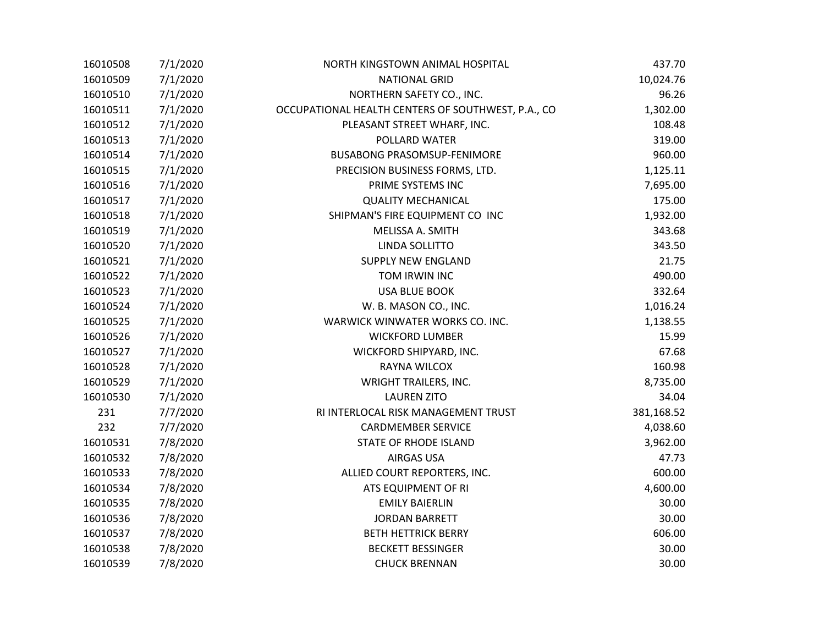| 16010508 | 7/1/2020 | NORTH KINGSTOWN ANIMAL HOSPITAL                    | 437.70     |
|----------|----------|----------------------------------------------------|------------|
| 16010509 | 7/1/2020 | <b>NATIONAL GRID</b>                               | 10,024.76  |
| 16010510 | 7/1/2020 | NORTHERN SAFETY CO., INC.                          | 96.26      |
| 16010511 | 7/1/2020 | OCCUPATIONAL HEALTH CENTERS OF SOUTHWEST, P.A., CO | 1,302.00   |
| 16010512 | 7/1/2020 | PLEASANT STREET WHARF, INC.                        | 108.48     |
| 16010513 | 7/1/2020 | POLLARD WATER                                      | 319.00     |
| 16010514 | 7/1/2020 | <b>BUSABONG PRASOMSUP-FENIMORE</b>                 | 960.00     |
| 16010515 | 7/1/2020 | PRECISION BUSINESS FORMS, LTD.                     | 1,125.11   |
| 16010516 | 7/1/2020 | PRIME SYSTEMS INC                                  | 7,695.00   |
| 16010517 | 7/1/2020 | <b>QUALITY MECHANICAL</b>                          | 175.00     |
| 16010518 | 7/1/2020 | SHIPMAN'S FIRE EQUIPMENT CO INC                    | 1,932.00   |
| 16010519 | 7/1/2020 | MELISSA A. SMITH                                   | 343.68     |
| 16010520 | 7/1/2020 | LINDA SOLLITTO                                     | 343.50     |
| 16010521 | 7/1/2020 | <b>SUPPLY NEW ENGLAND</b>                          | 21.75      |
| 16010522 | 7/1/2020 | TOM IRWIN INC                                      | 490.00     |
| 16010523 | 7/1/2020 | <b>USA BLUE BOOK</b>                               | 332.64     |
| 16010524 | 7/1/2020 | W. B. MASON CO., INC.                              | 1,016.24   |
| 16010525 | 7/1/2020 | WARWICK WINWATER WORKS CO. INC.                    | 1,138.55   |
| 16010526 | 7/1/2020 | <b>WICKFORD LUMBER</b>                             | 15.99      |
| 16010527 | 7/1/2020 | WICKFORD SHIPYARD, INC.                            | 67.68      |
| 16010528 | 7/1/2020 | RAYNA WILCOX                                       | 160.98     |
| 16010529 | 7/1/2020 | <b>WRIGHT TRAILERS, INC.</b>                       | 8,735.00   |
| 16010530 | 7/1/2020 | <b>LAUREN ZITO</b>                                 | 34.04      |
| 231      | 7/7/2020 | RI INTERLOCAL RISK MANAGEMENT TRUST                | 381,168.52 |
| 232      | 7/7/2020 | <b>CARDMEMBER SERVICE</b>                          | 4,038.60   |
| 16010531 | 7/8/2020 | <b>STATE OF RHODE ISLAND</b>                       | 3,962.00   |
| 16010532 | 7/8/2020 | <b>AIRGAS USA</b>                                  | 47.73      |
| 16010533 | 7/8/2020 | ALLIED COURT REPORTERS, INC.                       | 600.00     |
| 16010534 | 7/8/2020 | ATS EQUIPMENT OF RI                                | 4,600.00   |
| 16010535 | 7/8/2020 | <b>EMILY BAIERLIN</b>                              | 30.00      |
| 16010536 | 7/8/2020 | <b>JORDAN BARRETT</b>                              | 30.00      |
| 16010537 | 7/8/2020 | <b>BETH HETTRICK BERRY</b>                         | 606.00     |
| 16010538 | 7/8/2020 | <b>BECKETT BESSINGER</b>                           | 30.00      |
| 16010539 | 7/8/2020 | <b>CHUCK BRENNAN</b>                               | 30.00      |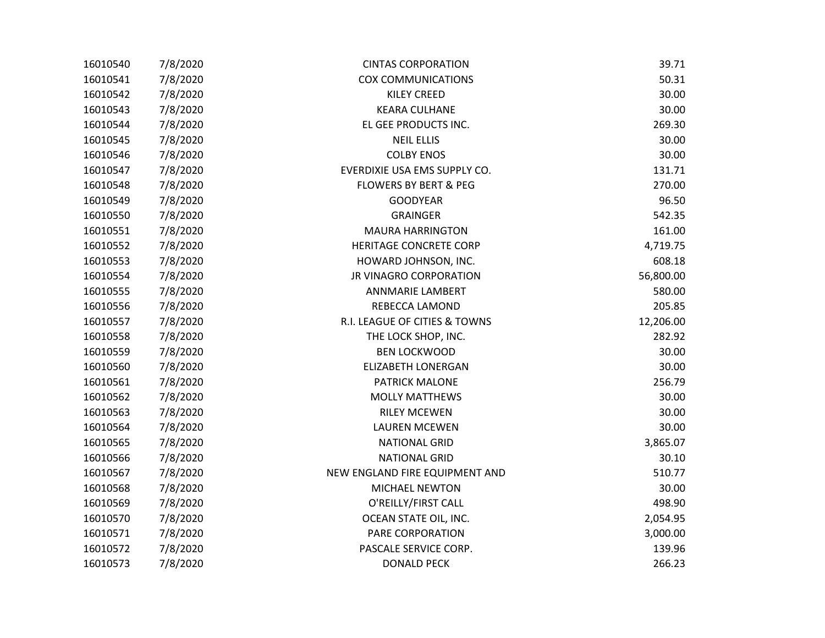| 16010540 | 7/8/2020 | <b>CINTAS CORPORATION</b>        | 39.71     |
|----------|----------|----------------------------------|-----------|
| 16010541 | 7/8/2020 | <b>COX COMMUNICATIONS</b>        | 50.31     |
| 16010542 | 7/8/2020 | <b>KILEY CREED</b>               | 30.00     |
| 16010543 | 7/8/2020 | <b>KEARA CULHANE</b>             | 30.00     |
| 16010544 | 7/8/2020 | EL GEE PRODUCTS INC.             | 269.30    |
| 16010545 | 7/8/2020 | <b>NEIL ELLIS</b>                | 30.00     |
| 16010546 | 7/8/2020 | <b>COLBY ENOS</b>                | 30.00     |
| 16010547 | 7/8/2020 | EVERDIXIE USA EMS SUPPLY CO.     | 131.71    |
| 16010548 | 7/8/2020 | <b>FLOWERS BY BERT &amp; PEG</b> | 270.00    |
| 16010549 | 7/8/2020 | <b>GOODYEAR</b>                  | 96.50     |
| 16010550 | 7/8/2020 | <b>GRAINGER</b>                  | 542.35    |
| 16010551 | 7/8/2020 | <b>MAURA HARRINGTON</b>          | 161.00    |
| 16010552 | 7/8/2020 | <b>HERITAGE CONCRETE CORP</b>    | 4,719.75  |
| 16010553 | 7/8/2020 | HOWARD JOHNSON, INC.             | 608.18    |
| 16010554 | 7/8/2020 | JR VINAGRO CORPORATION           | 56,800.00 |
| 16010555 | 7/8/2020 | <b>ANNMARIE LAMBERT</b>          | 580.00    |
| 16010556 | 7/8/2020 | REBECCA LAMOND                   | 205.85    |
| 16010557 | 7/8/2020 | R.I. LEAGUE OF CITIES & TOWNS    | 12,206.00 |
| 16010558 | 7/8/2020 | THE LOCK SHOP, INC.              | 282.92    |
| 16010559 | 7/8/2020 | <b>BEN LOCKWOOD</b>              | 30.00     |
| 16010560 | 7/8/2020 | <b>ELIZABETH LONERGAN</b>        | 30.00     |
| 16010561 | 7/8/2020 | <b>PATRICK MALONE</b>            | 256.79    |
| 16010562 | 7/8/2020 | <b>MOLLY MATTHEWS</b>            | 30.00     |
| 16010563 | 7/8/2020 | <b>RILEY MCEWEN</b>              | 30.00     |
| 16010564 | 7/8/2020 | <b>LAUREN MCEWEN</b>             | 30.00     |
| 16010565 | 7/8/2020 | <b>NATIONAL GRID</b>             | 3,865.07  |
| 16010566 | 7/8/2020 | <b>NATIONAL GRID</b>             | 30.10     |
| 16010567 | 7/8/2020 | NEW ENGLAND FIRE EQUIPMENT AND   | 510.77    |
| 16010568 | 7/8/2020 | MICHAEL NEWTON                   | 30.00     |
| 16010569 | 7/8/2020 | O'REILLY/FIRST CALL              | 498.90    |
| 16010570 | 7/8/2020 | OCEAN STATE OIL, INC.            | 2,054.95  |
| 16010571 | 7/8/2020 | PARE CORPORATION                 | 3,000.00  |
| 16010572 | 7/8/2020 | PASCALE SERVICE CORP.            | 139.96    |
| 16010573 | 7/8/2020 | <b>DONALD PECK</b>               | 266.23    |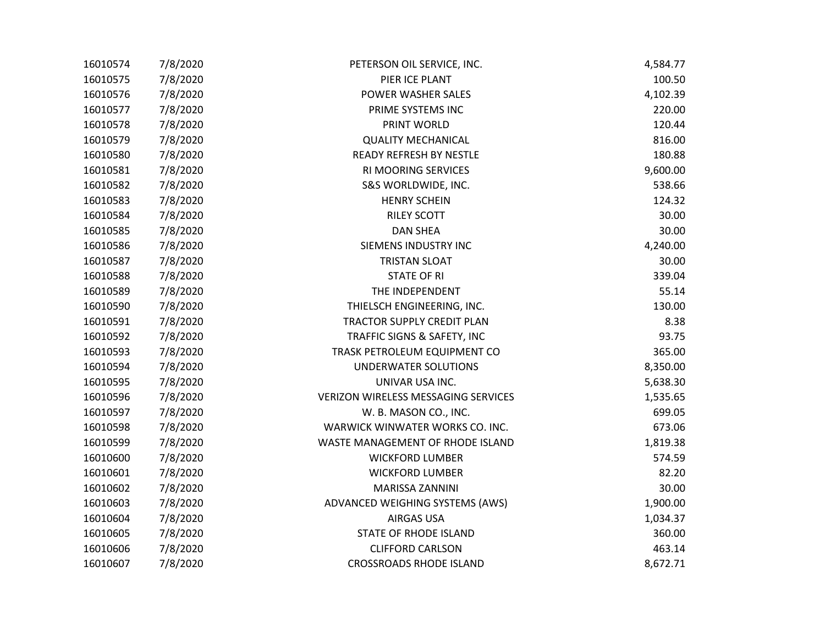| 16010574 | 7/8/2020 | PETERSON OIL SERVICE, INC.                 | 4,584.77 |
|----------|----------|--------------------------------------------|----------|
| 16010575 | 7/8/2020 | PIER ICE PLANT                             | 100.50   |
| 16010576 | 7/8/2020 | POWER WASHER SALES                         | 4,102.39 |
| 16010577 | 7/8/2020 | PRIME SYSTEMS INC                          | 220.00   |
| 16010578 | 7/8/2020 | PRINT WORLD                                | 120.44   |
| 16010579 | 7/8/2020 | <b>QUALITY MECHANICAL</b>                  | 816.00   |
| 16010580 | 7/8/2020 | READY REFRESH BY NESTLE                    | 180.88   |
| 16010581 | 7/8/2020 | RI MOORING SERVICES                        | 9,600.00 |
| 16010582 | 7/8/2020 | S&S WORLDWIDE, INC.                        | 538.66   |
| 16010583 | 7/8/2020 | <b>HENRY SCHEIN</b>                        | 124.32   |
| 16010584 | 7/8/2020 | <b>RILEY SCOTT</b>                         | 30.00    |
| 16010585 | 7/8/2020 | <b>DAN SHEA</b>                            | 30.00    |
| 16010586 | 7/8/2020 | SIEMENS INDUSTRY INC                       | 4,240.00 |
| 16010587 | 7/8/2020 | <b>TRISTAN SLOAT</b>                       | 30.00    |
| 16010588 | 7/8/2020 | <b>STATE OF RI</b>                         | 339.04   |
| 16010589 | 7/8/2020 | THE INDEPENDENT                            | 55.14    |
| 16010590 | 7/8/2020 | THIELSCH ENGINEERING, INC.                 | 130.00   |
| 16010591 | 7/8/2020 | TRACTOR SUPPLY CREDIT PLAN                 | 8.38     |
| 16010592 | 7/8/2020 | TRAFFIC SIGNS & SAFETY, INC                | 93.75    |
| 16010593 | 7/8/2020 | TRASK PETROLEUM EQUIPMENT CO               | 365.00   |
| 16010594 | 7/8/2020 | UNDERWATER SOLUTIONS                       | 8,350.00 |
| 16010595 | 7/8/2020 | UNIVAR USA INC.                            | 5,638.30 |
| 16010596 | 7/8/2020 | <b>VERIZON WIRELESS MESSAGING SERVICES</b> | 1,535.65 |
| 16010597 | 7/8/2020 | W. B. MASON CO., INC.                      | 699.05   |
| 16010598 | 7/8/2020 | WARWICK WINWATER WORKS CO. INC.            | 673.06   |
| 16010599 | 7/8/2020 | WASTE MANAGEMENT OF RHODE ISLAND           | 1,819.38 |
| 16010600 | 7/8/2020 | <b>WICKFORD LUMBER</b>                     | 574.59   |
| 16010601 | 7/8/2020 | <b>WICKFORD LUMBER</b>                     | 82.20    |
| 16010602 | 7/8/2020 | MARISSA ZANNINI                            | 30.00    |
| 16010603 | 7/8/2020 | ADVANCED WEIGHING SYSTEMS (AWS)            | 1,900.00 |
| 16010604 | 7/8/2020 | <b>AIRGAS USA</b>                          | 1,034.37 |
| 16010605 | 7/8/2020 | STATE OF RHODE ISLAND                      | 360.00   |
| 16010606 | 7/8/2020 | <b>CLIFFORD CARLSON</b>                    | 463.14   |
| 16010607 | 7/8/2020 | <b>CROSSROADS RHODE ISLAND</b>             | 8,672.71 |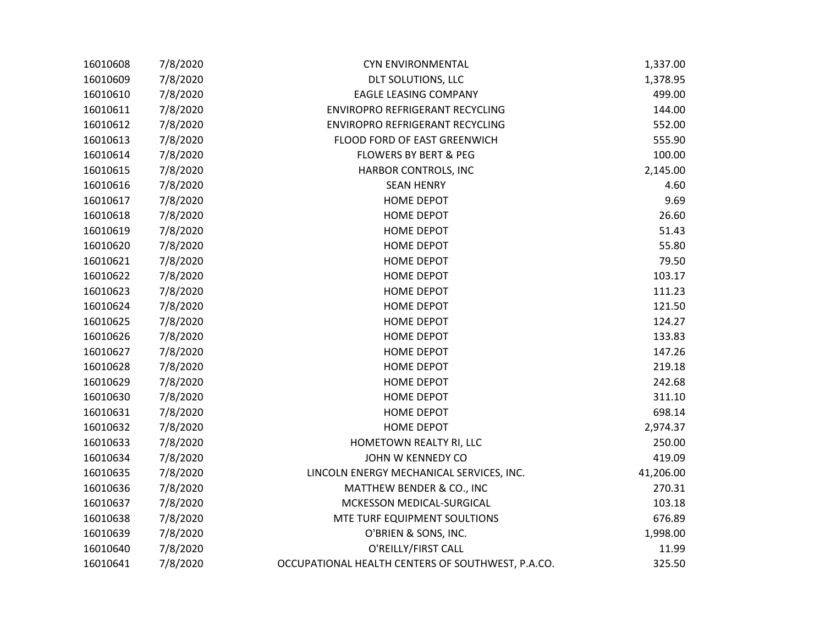| 16010608 | 7/8/2020 | <b>CYN ENVIRONMENTAL</b>                          | 1,337.00  |
|----------|----------|---------------------------------------------------|-----------|
| 16010609 | 7/8/2020 | DLT SOLUTIONS, LLC                                | 1,378.95  |
| 16010610 | 7/8/2020 | <b>EAGLE LEASING COMPANY</b>                      | 499.00    |
| 16010611 | 7/8/2020 | ENVIROPRO REFRIGERANT RECYCLING                   | 144.00    |
| 16010612 | 7/8/2020 | ENVIROPRO REFRIGERANT RECYCLING                   | 552.00    |
| 16010613 | 7/8/2020 | FLOOD FORD OF EAST GREENWICH                      | 555.90    |
| 16010614 | 7/8/2020 | <b>FLOWERS BY BERT &amp; PEG</b>                  | 100.00    |
| 16010615 | 7/8/2020 | HARBOR CONTROLS, INC                              | 2,145.00  |
| 16010616 | 7/8/2020 | <b>SEAN HENRY</b>                                 | 4.60      |
| 16010617 | 7/8/2020 | <b>HOME DEPOT</b>                                 | 9.69      |
| 16010618 | 7/8/2020 | <b>HOME DEPOT</b>                                 | 26.60     |
| 16010619 | 7/8/2020 | <b>HOME DEPOT</b>                                 | 51.43     |
| 16010620 | 7/8/2020 | <b>HOME DEPOT</b>                                 | 55.80     |
| 16010621 | 7/8/2020 | <b>HOME DEPOT</b>                                 | 79.50     |
| 16010622 | 7/8/2020 | <b>HOME DEPOT</b>                                 | 103.17    |
| 16010623 | 7/8/2020 | <b>HOME DEPOT</b>                                 | 111.23    |
| 16010624 | 7/8/2020 | <b>HOME DEPOT</b>                                 | 121.50    |
| 16010625 | 7/8/2020 | <b>HOME DEPOT</b>                                 | 124.27    |
| 16010626 | 7/8/2020 | <b>HOME DEPOT</b>                                 | 133.83    |
| 16010627 | 7/8/2020 | <b>HOME DEPOT</b>                                 | 147.26    |
| 16010628 | 7/8/2020 | <b>HOME DEPOT</b>                                 | 219.18    |
| 16010629 | 7/8/2020 | <b>HOME DEPOT</b>                                 | 242.68    |
| 16010630 | 7/8/2020 | <b>HOME DEPOT</b>                                 | 311.10    |
| 16010631 | 7/8/2020 | <b>HOME DEPOT</b>                                 | 698.14    |
| 16010632 | 7/8/2020 | <b>HOME DEPOT</b>                                 | 2,974.37  |
| 16010633 | 7/8/2020 | HOMETOWN REALTY RI, LLC                           | 250.00    |
| 16010634 | 7/8/2020 | JOHN W KENNEDY CO                                 | 419.09    |
| 16010635 | 7/8/2020 | LINCOLN ENERGY MECHANICAL SERVICES, INC.          | 41,206.00 |
| 16010636 | 7/8/2020 | MATTHEW BENDER & CO., INC                         | 270.31    |
| 16010637 | 7/8/2020 | MCKESSON MEDICAL-SURGICAL                         | 103.18    |
| 16010638 | 7/8/2020 | MTE TURF EQUIPMENT SOULTIONS                      | 676.89    |
| 16010639 | 7/8/2020 | O'BRIEN & SONS, INC.                              | 1,998.00  |
| 16010640 | 7/8/2020 | O'REILLY/FIRST CALL                               | 11.99     |
| 16010641 | 7/8/2020 | OCCUPATIONAL HEALTH CENTERS OF SOUTHWEST, P.A.CO. | 325.50    |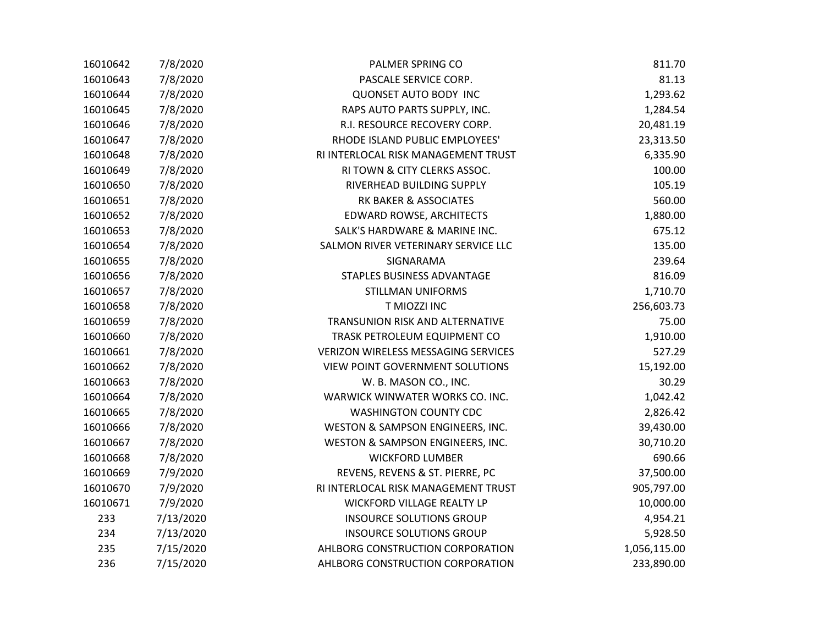| 16010642 | 7/8/2020  | PALMER SPRING CO                       | 811.70       |
|----------|-----------|----------------------------------------|--------------|
| 16010643 | 7/8/2020  | PASCALE SERVICE CORP.                  | 81.13        |
| 16010644 | 7/8/2020  | <b>QUONSET AUTO BODY INC</b>           | 1,293.62     |
| 16010645 | 7/8/2020  | RAPS AUTO PARTS SUPPLY, INC.           | 1,284.54     |
| 16010646 | 7/8/2020  | R.I. RESOURCE RECOVERY CORP.           | 20,481.19    |
| 16010647 | 7/8/2020  | RHODE ISLAND PUBLIC EMPLOYEES'         | 23,313.50    |
| 16010648 | 7/8/2020  | RI INTERLOCAL RISK MANAGEMENT TRUST    | 6,335.90     |
| 16010649 | 7/8/2020  | RI TOWN & CITY CLERKS ASSOC.           | 100.00       |
| 16010650 | 7/8/2020  | RIVERHEAD BUILDING SUPPLY              | 105.19       |
| 16010651 | 7/8/2020  | RK BAKER & ASSOCIATES                  | 560.00       |
| 16010652 | 7/8/2020  | EDWARD ROWSE, ARCHITECTS               | 1,880.00     |
| 16010653 | 7/8/2020  | SALK'S HARDWARE & MARINE INC.          | 675.12       |
| 16010654 | 7/8/2020  | SALMON RIVER VETERINARY SERVICE LLC    | 135.00       |
| 16010655 | 7/8/2020  | SIGNARAMA                              | 239.64       |
| 16010656 | 7/8/2020  | STAPLES BUSINESS ADVANTAGE             | 816.09       |
| 16010657 | 7/8/2020  | <b>STILLMAN UNIFORMS</b>               | 1,710.70     |
| 16010658 | 7/8/2020  | T MIOZZI INC                           | 256,603.73   |
| 16010659 | 7/8/2020  | TRANSUNION RISK AND ALTERNATIVE        | 75.00        |
| 16010660 | 7/8/2020  | TRASK PETROLEUM EQUIPMENT CO           | 1,910.00     |
| 16010661 | 7/8/2020  | VERIZON WIRELESS MESSAGING SERVICES    | 527.29       |
| 16010662 | 7/8/2020  | <b>VIEW POINT GOVERNMENT SOLUTIONS</b> | 15,192.00    |
| 16010663 | 7/8/2020  | W. B. MASON CO., INC.                  | 30.29        |
| 16010664 | 7/8/2020  | WARWICK WINWATER WORKS CO. INC.        | 1,042.42     |
| 16010665 | 7/8/2020  | <b>WASHINGTON COUNTY CDC</b>           | 2,826.42     |
| 16010666 | 7/8/2020  | WESTON & SAMPSON ENGINEERS, INC.       | 39,430.00    |
| 16010667 | 7/8/2020  | WESTON & SAMPSON ENGINEERS, INC.       | 30,710.20    |
| 16010668 | 7/8/2020  | <b>WICKFORD LUMBER</b>                 | 690.66       |
| 16010669 | 7/9/2020  | REVENS, REVENS & ST. PIERRE, PC        | 37,500.00    |
| 16010670 | 7/9/2020  | RI INTERLOCAL RISK MANAGEMENT TRUST    | 905,797.00   |
| 16010671 | 7/9/2020  | WICKFORD VILLAGE REALTY LP             | 10,000.00    |
| 233      | 7/13/2020 | <b>INSOURCE SOLUTIONS GROUP</b>        | 4,954.21     |
| 234      | 7/13/2020 | <b>INSOURCE SOLUTIONS GROUP</b>        | 5,928.50     |
| 235      | 7/15/2020 | AHLBORG CONSTRUCTION CORPORATION       | 1,056,115.00 |
| 236      | 7/15/2020 | AHLBORG CONSTRUCTION CORPORATION       | 233,890.00   |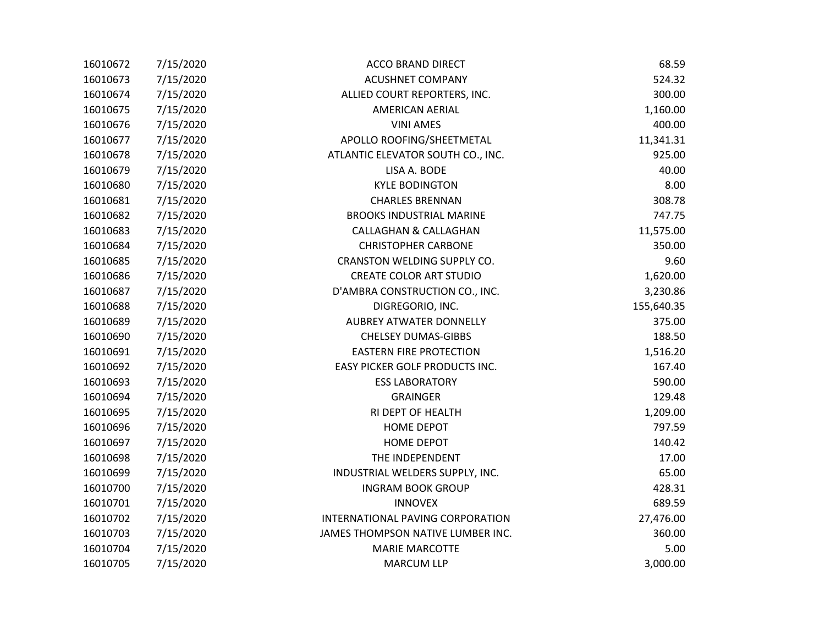| 16010672 | 7/15/2020 | ACCO BRAND DIRECT                 | 68.59      |
|----------|-----------|-----------------------------------|------------|
| 16010673 | 7/15/2020 | <b>ACUSHNET COMPANY</b>           | 524.32     |
| 16010674 | 7/15/2020 | ALLIED COURT REPORTERS, INC.      | 300.00     |
| 16010675 | 7/15/2020 | <b>AMERICAN AERIAL</b>            | 1,160.00   |
| 16010676 | 7/15/2020 | <b>VINI AMES</b>                  | 400.00     |
| 16010677 | 7/15/2020 | APOLLO ROOFING/SHEETMETAL         | 11,341.31  |
| 16010678 | 7/15/2020 | ATLANTIC ELEVATOR SOUTH CO., INC. | 925.00     |
| 16010679 | 7/15/2020 | LISA A. BODE                      | 40.00      |
| 16010680 | 7/15/2020 | <b>KYLE BODINGTON</b>             | 8.00       |
| 16010681 | 7/15/2020 | <b>CHARLES BRENNAN</b>            | 308.78     |
| 16010682 | 7/15/2020 | <b>BROOKS INDUSTRIAL MARINE</b>   | 747.75     |
| 16010683 | 7/15/2020 | <b>CALLAGHAN &amp; CALLAGHAN</b>  | 11,575.00  |
| 16010684 | 7/15/2020 | <b>CHRISTOPHER CARBONE</b>        | 350.00     |
| 16010685 | 7/15/2020 | CRANSTON WELDING SUPPLY CO.       | 9.60       |
| 16010686 | 7/15/2020 | <b>CREATE COLOR ART STUDIO</b>    | 1,620.00   |
| 16010687 | 7/15/2020 | D'AMBRA CONSTRUCTION CO., INC.    | 3,230.86   |
| 16010688 | 7/15/2020 | DIGREGORIO, INC.                  | 155,640.35 |
| 16010689 | 7/15/2020 | <b>AUBREY ATWATER DONNELLY</b>    | 375.00     |
| 16010690 | 7/15/2020 | <b>CHELSEY DUMAS-GIBBS</b>        | 188.50     |
| 16010691 | 7/15/2020 | <b>EASTERN FIRE PROTECTION</b>    | 1,516.20   |
| 16010692 | 7/15/2020 | EASY PICKER GOLF PRODUCTS INC.    | 167.40     |
| 16010693 | 7/15/2020 | <b>ESS LABORATORY</b>             | 590.00     |
| 16010694 | 7/15/2020 | <b>GRAINGER</b>                   | 129.48     |
| 16010695 | 7/15/2020 | RI DEPT OF HEALTH                 | 1,209.00   |
| 16010696 | 7/15/2020 | <b>HOME DEPOT</b>                 | 797.59     |
| 16010697 | 7/15/2020 | <b>HOME DEPOT</b>                 | 140.42     |
| 16010698 | 7/15/2020 | THE INDEPENDENT                   | 17.00      |
| 16010699 | 7/15/2020 | INDUSTRIAL WELDERS SUPPLY, INC.   | 65.00      |
| 16010700 | 7/15/2020 | <b>INGRAM BOOK GROUP</b>          | 428.31     |
| 16010701 | 7/15/2020 | <b>INNOVEX</b>                    | 689.59     |
| 16010702 | 7/15/2020 | INTERNATIONAL PAVING CORPORATION  | 27,476.00  |
| 16010703 | 7/15/2020 | JAMES THOMPSON NATIVE LUMBER INC. | 360.00     |
| 16010704 | 7/15/2020 | <b>MARIE MARCOTTE</b>             | 5.00       |
| 16010705 | 7/15/2020 | <b>MARCUM LLP</b>                 | 3,000.00   |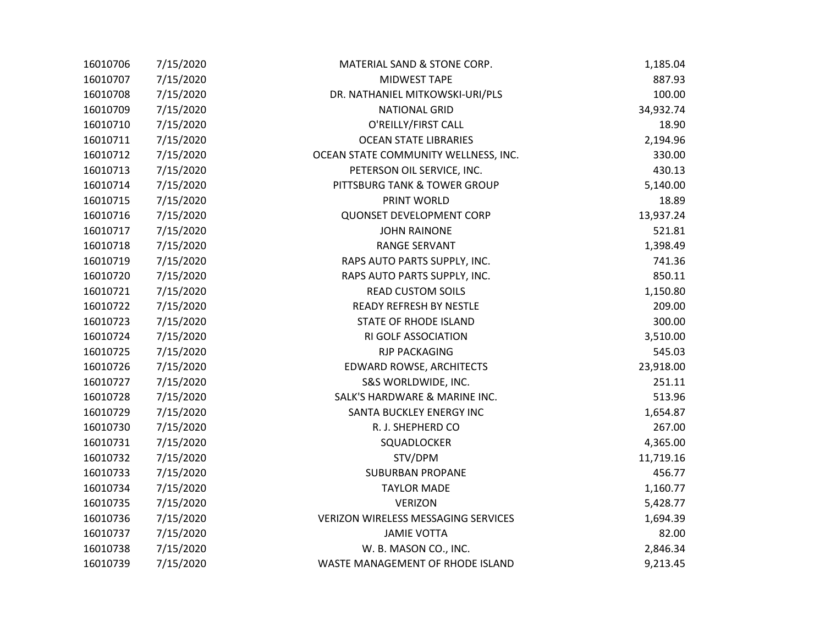| 16010706 | 7/15/2020 | MATERIAL SAND & STONE CORP.                | 1,185.04  |
|----------|-----------|--------------------------------------------|-----------|
| 16010707 | 7/15/2020 | <b>MIDWEST TAPE</b>                        | 887.93    |
| 16010708 | 7/15/2020 | DR. NATHANIEL MITKOWSKI-URI/PLS            | 100.00    |
| 16010709 | 7/15/2020 | <b>NATIONAL GRID</b>                       | 34,932.74 |
| 16010710 | 7/15/2020 | O'REILLY/FIRST CALL                        | 18.90     |
| 16010711 | 7/15/2020 | <b>OCEAN STATE LIBRARIES</b>               | 2,194.96  |
| 16010712 | 7/15/2020 | OCEAN STATE COMMUNITY WELLNESS, INC.       | 330.00    |
| 16010713 | 7/15/2020 | PETERSON OIL SERVICE, INC.                 | 430.13    |
| 16010714 | 7/15/2020 | PITTSBURG TANK & TOWER GROUP               | 5,140.00  |
| 16010715 | 7/15/2020 | PRINT WORLD                                | 18.89     |
| 16010716 | 7/15/2020 | <b>QUONSET DEVELOPMENT CORP</b>            | 13,937.24 |
| 16010717 | 7/15/2020 | <b>JOHN RAINONE</b>                        | 521.81    |
| 16010718 | 7/15/2020 | <b>RANGE SERVANT</b>                       | 1,398.49  |
| 16010719 | 7/15/2020 | RAPS AUTO PARTS SUPPLY, INC.               | 741.36    |
| 16010720 | 7/15/2020 | RAPS AUTO PARTS SUPPLY, INC.               | 850.11    |
| 16010721 | 7/15/2020 | <b>READ CUSTOM SOILS</b>                   | 1,150.80  |
| 16010722 | 7/15/2020 | <b>READY REFRESH BY NESTLE</b>             | 209.00    |
| 16010723 | 7/15/2020 | <b>STATE OF RHODE ISLAND</b>               | 300.00    |
| 16010724 | 7/15/2020 | RI GOLF ASSOCIATION                        | 3,510.00  |
| 16010725 | 7/15/2020 | <b>RJP PACKAGING</b>                       | 545.03    |
| 16010726 | 7/15/2020 | EDWARD ROWSE, ARCHITECTS                   | 23,918.00 |
| 16010727 | 7/15/2020 | S&S WORLDWIDE, INC.                        | 251.11    |
| 16010728 | 7/15/2020 | SALK'S HARDWARE & MARINE INC.              | 513.96    |
| 16010729 | 7/15/2020 | SANTA BUCKLEY ENERGY INC                   | 1,654.87  |
| 16010730 | 7/15/2020 | R. J. SHEPHERD CO                          | 267.00    |
| 16010731 | 7/15/2020 | SQUADLOCKER                                | 4,365.00  |
| 16010732 | 7/15/2020 | STV/DPM                                    | 11,719.16 |
| 16010733 | 7/15/2020 | <b>SUBURBAN PROPANE</b>                    | 456.77    |
| 16010734 | 7/15/2020 | <b>TAYLOR MADE</b>                         | 1,160.77  |
| 16010735 | 7/15/2020 | <b>VERIZON</b>                             | 5,428.77  |
| 16010736 | 7/15/2020 | <b>VERIZON WIRELESS MESSAGING SERVICES</b> | 1,694.39  |
| 16010737 | 7/15/2020 | <b>JAMIE VOTTA</b>                         | 82.00     |
| 16010738 | 7/15/2020 | W. B. MASON CO., INC.                      | 2,846.34  |
| 16010739 | 7/15/2020 | WASTE MANAGEMENT OF RHODE ISLAND           | 9,213.45  |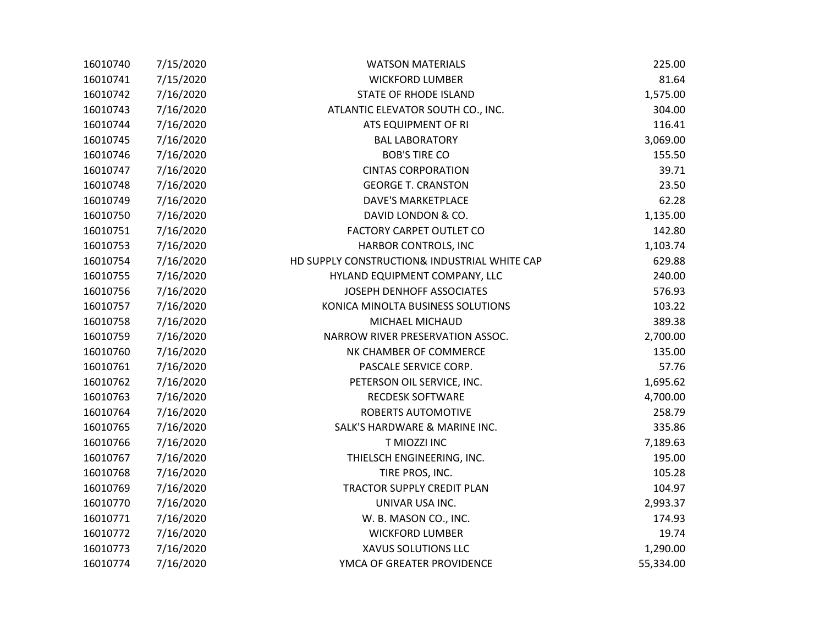| 16010740 | 7/15/2020 | <b>WATSON MATERIALS</b>                      | 225.00    |
|----------|-----------|----------------------------------------------|-----------|
| 16010741 | 7/15/2020 | <b>WICKFORD LUMBER</b>                       | 81.64     |
| 16010742 | 7/16/2020 | <b>STATE OF RHODE ISLAND</b>                 | 1,575.00  |
| 16010743 | 7/16/2020 | ATLANTIC ELEVATOR SOUTH CO., INC.            | 304.00    |
| 16010744 | 7/16/2020 | ATS EQUIPMENT OF RI                          | 116.41    |
| 16010745 | 7/16/2020 | <b>BAL LABORATORY</b>                        | 3,069.00  |
| 16010746 | 7/16/2020 | <b>BOB'S TIRE CO</b>                         | 155.50    |
| 16010747 | 7/16/2020 | <b>CINTAS CORPORATION</b>                    | 39.71     |
| 16010748 | 7/16/2020 | <b>GEORGE T. CRANSTON</b>                    | 23.50     |
| 16010749 | 7/16/2020 | <b>DAVE'S MARKETPLACE</b>                    | 62.28     |
| 16010750 | 7/16/2020 | DAVID LONDON & CO.                           | 1,135.00  |
| 16010751 | 7/16/2020 | <b>FACTORY CARPET OUTLET CO</b>              | 142.80    |
| 16010753 | 7/16/2020 | HARBOR CONTROLS, INC                         | 1,103.74  |
| 16010754 | 7/16/2020 | HD SUPPLY CONSTRUCTION& INDUSTRIAL WHITE CAP | 629.88    |
| 16010755 | 7/16/2020 | HYLAND EQUIPMENT COMPANY, LLC                | 240.00    |
| 16010756 | 7/16/2020 | JOSEPH DENHOFF ASSOCIATES                    | 576.93    |
| 16010757 | 7/16/2020 | KONICA MINOLTA BUSINESS SOLUTIONS            | 103.22    |
| 16010758 | 7/16/2020 | MICHAEL MICHAUD                              | 389.38    |
| 16010759 | 7/16/2020 | NARROW RIVER PRESERVATION ASSOC.             | 2,700.00  |
| 16010760 | 7/16/2020 | NK CHAMBER OF COMMERCE                       | 135.00    |
| 16010761 | 7/16/2020 | PASCALE SERVICE CORP.                        | 57.76     |
| 16010762 | 7/16/2020 | PETERSON OIL SERVICE, INC.                   | 1,695.62  |
| 16010763 | 7/16/2020 | <b>RECDESK SOFTWARE</b>                      | 4,700.00  |
| 16010764 | 7/16/2020 | ROBERTS AUTOMOTIVE                           | 258.79    |
| 16010765 | 7/16/2020 | SALK'S HARDWARE & MARINE INC.                | 335.86    |
| 16010766 | 7/16/2020 | T MIOZZI INC                                 | 7,189.63  |
| 16010767 | 7/16/2020 | THIELSCH ENGINEERING, INC.                   | 195.00    |
| 16010768 | 7/16/2020 | TIRE PROS, INC.                              | 105.28    |
| 16010769 | 7/16/2020 | TRACTOR SUPPLY CREDIT PLAN                   | 104.97    |
| 16010770 | 7/16/2020 | UNIVAR USA INC.                              | 2,993.37  |
| 16010771 | 7/16/2020 | W. B. MASON CO., INC.                        | 174.93    |
| 16010772 | 7/16/2020 | <b>WICKFORD LUMBER</b>                       | 19.74     |
| 16010773 | 7/16/2020 | XAVUS SOLUTIONS LLC                          | 1,290.00  |
| 16010774 | 7/16/2020 | YMCA OF GREATER PROVIDENCE                   | 55,334.00 |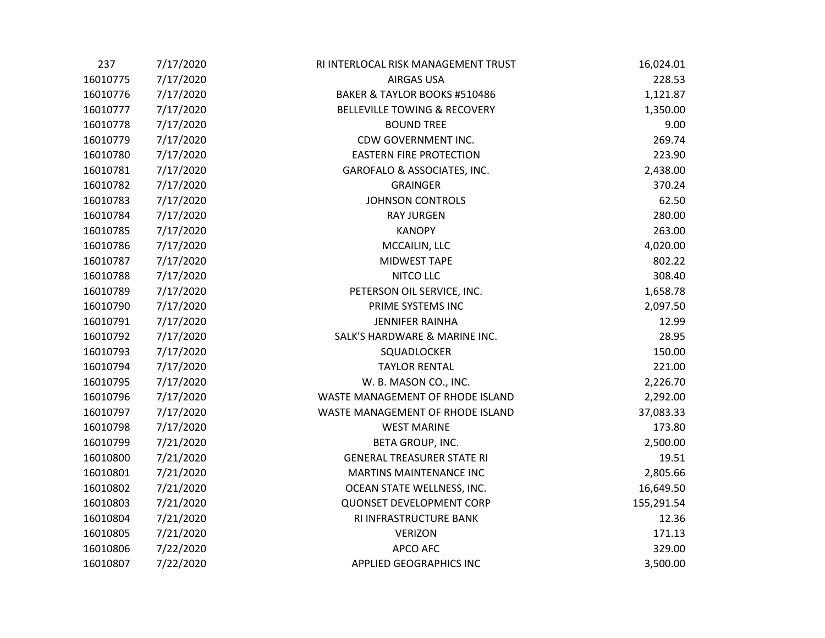| 237      | 7/17/2020 | RI INTERLOCAL RISK MANAGEMENT TRUST | 16,024.01  |
|----------|-----------|-------------------------------------|------------|
| 16010775 | 7/17/2020 | <b>AIRGAS USA</b>                   | 228.53     |
| 16010776 | 7/17/2020 | BAKER & TAYLOR BOOKS #510486        | 1,121.87   |
| 16010777 | 7/17/2020 | BELLEVILLE TOWING & RECOVERY        | 1,350.00   |
| 16010778 | 7/17/2020 | <b>BOUND TREE</b>                   | 9.00       |
| 16010779 | 7/17/2020 | CDW GOVERNMENT INC.                 | 269.74     |
| 16010780 | 7/17/2020 | <b>EASTERN FIRE PROTECTION</b>      | 223.90     |
| 16010781 | 7/17/2020 | GAROFALO & ASSOCIATES, INC.         | 2,438.00   |
| 16010782 | 7/17/2020 | <b>GRAINGER</b>                     | 370.24     |
| 16010783 | 7/17/2020 | <b>JOHNSON CONTROLS</b>             | 62.50      |
| 16010784 | 7/17/2020 | <b>RAY JURGEN</b>                   | 280.00     |
| 16010785 | 7/17/2020 | <b>KANOPY</b>                       | 263.00     |
| 16010786 | 7/17/2020 | MCCAILIN, LLC                       | 4,020.00   |
| 16010787 | 7/17/2020 | <b>MIDWEST TAPE</b>                 | 802.22     |
| 16010788 | 7/17/2020 | NITCO LLC                           | 308.40     |
| 16010789 | 7/17/2020 | PETERSON OIL SERVICE, INC.          | 1,658.78   |
| 16010790 | 7/17/2020 | PRIME SYSTEMS INC                   | 2,097.50   |
| 16010791 | 7/17/2020 | <b>JENNIFER RAINHA</b>              | 12.99      |
| 16010792 | 7/17/2020 | SALK'S HARDWARE & MARINE INC.       | 28.95      |
| 16010793 | 7/17/2020 | SQUADLOCKER                         | 150.00     |
| 16010794 | 7/17/2020 | <b>TAYLOR RENTAL</b>                | 221.00     |
| 16010795 | 7/17/2020 | W. B. MASON CO., INC.               | 2,226.70   |
| 16010796 | 7/17/2020 | WASTE MANAGEMENT OF RHODE ISLAND    | 2,292.00   |
| 16010797 | 7/17/2020 | WASTE MANAGEMENT OF RHODE ISLAND    | 37,083.33  |
| 16010798 | 7/17/2020 | <b>WEST MARINE</b>                  | 173.80     |
| 16010799 | 7/21/2020 | BETA GROUP, INC.                    | 2,500.00   |
| 16010800 | 7/21/2020 | <b>GENERAL TREASURER STATE RI</b>   | 19.51      |
| 16010801 | 7/21/2020 | MARTINS MAINTENANCE INC             | 2,805.66   |
| 16010802 | 7/21/2020 | OCEAN STATE WELLNESS, INC.          | 16,649.50  |
| 16010803 | 7/21/2020 | <b>QUONSET DEVELOPMENT CORP</b>     | 155,291.54 |
| 16010804 | 7/21/2020 | RI INFRASTRUCTURE BANK              | 12.36      |
| 16010805 | 7/21/2020 | <b>VERIZON</b>                      | 171.13     |
| 16010806 | 7/22/2020 | <b>APCO AFC</b>                     | 329.00     |
| 16010807 | 7/22/2020 | <b>APPLIED GEOGRAPHICS INC</b>      | 3,500.00   |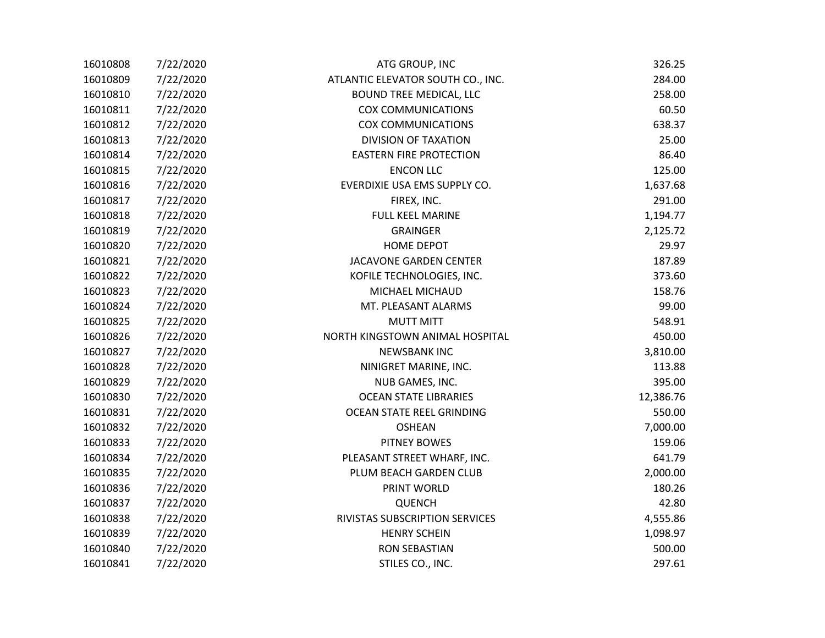| 16010808 | 7/22/2020 | ATG GROUP, INC                    | 326.25    |
|----------|-----------|-----------------------------------|-----------|
| 16010809 | 7/22/2020 | ATLANTIC ELEVATOR SOUTH CO., INC. | 284.00    |
| 16010810 | 7/22/2020 | <b>BOUND TREE MEDICAL, LLC</b>    | 258.00    |
| 16010811 | 7/22/2020 | <b>COX COMMUNICATIONS</b>         | 60.50     |
| 16010812 | 7/22/2020 | <b>COX COMMUNICATIONS</b>         | 638.37    |
| 16010813 | 7/22/2020 | <b>DIVISION OF TAXATION</b>       | 25.00     |
| 16010814 | 7/22/2020 | <b>EASTERN FIRE PROTECTION</b>    | 86.40     |
| 16010815 | 7/22/2020 | <b>ENCON LLC</b>                  | 125.00    |
| 16010816 | 7/22/2020 | EVERDIXIE USA EMS SUPPLY CO.      | 1,637.68  |
| 16010817 | 7/22/2020 | FIREX, INC.                       | 291.00    |
| 16010818 | 7/22/2020 | <b>FULL KEEL MARINE</b>           | 1,194.77  |
| 16010819 | 7/22/2020 | <b>GRAINGER</b>                   | 2,125.72  |
| 16010820 | 7/22/2020 | <b>HOME DEPOT</b>                 | 29.97     |
| 16010821 | 7/22/2020 | JACAVONE GARDEN CENTER            | 187.89    |
| 16010822 | 7/22/2020 | KOFILE TECHNOLOGIES, INC.         | 373.60    |
| 16010823 | 7/22/2020 | MICHAEL MICHAUD                   | 158.76    |
| 16010824 | 7/22/2020 | MT. PLEASANT ALARMS               | 99.00     |
| 16010825 | 7/22/2020 | <b>MUTT MITT</b>                  | 548.91    |
| 16010826 | 7/22/2020 | NORTH KINGSTOWN ANIMAL HOSPITAL   | 450.00    |
| 16010827 | 7/22/2020 | <b>NEWSBANK INC</b>               | 3,810.00  |
| 16010828 | 7/22/2020 | NINIGRET MARINE, INC.             | 113.88    |
| 16010829 | 7/22/2020 | NUB GAMES, INC.                   | 395.00    |
| 16010830 | 7/22/2020 | <b>OCEAN STATE LIBRARIES</b>      | 12,386.76 |
| 16010831 | 7/22/2020 | OCEAN STATE REEL GRINDING         | 550.00    |
| 16010832 | 7/22/2020 | <b>OSHEAN</b>                     | 7,000.00  |
| 16010833 | 7/22/2020 | <b>PITNEY BOWES</b>               | 159.06    |
| 16010834 | 7/22/2020 | PLEASANT STREET WHARF, INC.       | 641.79    |
| 16010835 | 7/22/2020 | PLUM BEACH GARDEN CLUB            | 2,000.00  |
| 16010836 | 7/22/2020 | <b>PRINT WORLD</b>                | 180.26    |
| 16010837 | 7/22/2020 | <b>QUENCH</b>                     | 42.80     |
| 16010838 | 7/22/2020 | RIVISTAS SUBSCRIPTION SERVICES    | 4,555.86  |
| 16010839 | 7/22/2020 | <b>HENRY SCHEIN</b>               | 1,098.97  |
| 16010840 | 7/22/2020 | <b>RON SEBASTIAN</b>              | 500.00    |
| 16010841 | 7/22/2020 | STILES CO., INC.                  | 297.61    |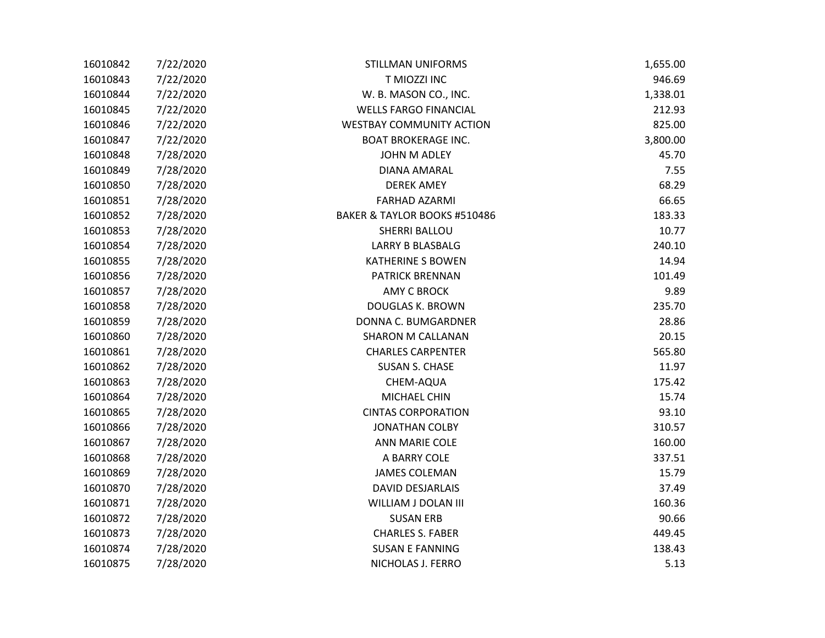| 16010842 | 7/22/2020 | <b>STILLMAN UNIFORMS</b>        | 1,655.00 |
|----------|-----------|---------------------------------|----------|
| 16010843 | 7/22/2020 | T MIOZZI INC                    | 946.69   |
| 16010844 | 7/22/2020 | W. B. MASON CO., INC.           | 1,338.01 |
| 16010845 | 7/22/2020 | <b>WELLS FARGO FINANCIAL</b>    | 212.93   |
| 16010846 | 7/22/2020 | <b>WESTBAY COMMUNITY ACTION</b> | 825.00   |
| 16010847 | 7/22/2020 | <b>BOAT BROKERAGE INC.</b>      | 3,800.00 |
| 16010848 | 7/28/2020 | <b>JOHN M ADLEY</b>             | 45.70    |
| 16010849 | 7/28/2020 | <b>DIANA AMARAL</b>             | 7.55     |
| 16010850 | 7/28/2020 | <b>DEREK AMEY</b>               | 68.29    |
| 16010851 | 7/28/2020 | <b>FARHAD AZARMI</b>            | 66.65    |
| 16010852 | 7/28/2020 | BAKER & TAYLOR BOOKS #510486    | 183.33   |
| 16010853 | 7/28/2020 | <b>SHERRI BALLOU</b>            | 10.77    |
| 16010854 | 7/28/2020 | <b>LARRY B BLASBALG</b>         | 240.10   |
| 16010855 | 7/28/2020 | <b>KATHERINE S BOWEN</b>        | 14.94    |
| 16010856 | 7/28/2020 | <b>PATRICK BRENNAN</b>          | 101.49   |
| 16010857 | 7/28/2020 | <b>AMY C BROCK</b>              | 9.89     |
| 16010858 | 7/28/2020 | DOUGLAS K. BROWN                | 235.70   |
| 16010859 | 7/28/2020 | DONNA C. BUMGARDNER             | 28.86    |
| 16010860 | 7/28/2020 | <b>SHARON M CALLANAN</b>        | 20.15    |
| 16010861 | 7/28/2020 | <b>CHARLES CARPENTER</b>        | 565.80   |
| 16010862 | 7/28/2020 | <b>SUSAN S. CHASE</b>           | 11.97    |
| 16010863 | 7/28/2020 | CHEM-AQUA                       | 175.42   |
| 16010864 | 7/28/2020 | MICHAEL CHIN                    | 15.74    |
| 16010865 | 7/28/2020 | <b>CINTAS CORPORATION</b>       | 93.10    |
| 16010866 | 7/28/2020 | <b>JONATHAN COLBY</b>           | 310.57   |
| 16010867 | 7/28/2020 | <b>ANN MARIE COLE</b>           | 160.00   |
| 16010868 | 7/28/2020 | A BARRY COLE                    | 337.51   |
| 16010869 | 7/28/2020 | <b>JAMES COLEMAN</b>            | 15.79    |
| 16010870 | 7/28/2020 | <b>DAVID DESJARLAIS</b>         | 37.49    |
| 16010871 | 7/28/2020 | WILLIAM J DOLAN III             | 160.36   |
| 16010872 | 7/28/2020 | <b>SUSAN ERB</b>                | 90.66    |
| 16010873 | 7/28/2020 | <b>CHARLES S. FABER</b>         | 449.45   |
| 16010874 | 7/28/2020 | <b>SUSAN E FANNING</b>          | 138.43   |
| 16010875 | 7/28/2020 | NICHOLAS J. FERRO               | 5.13     |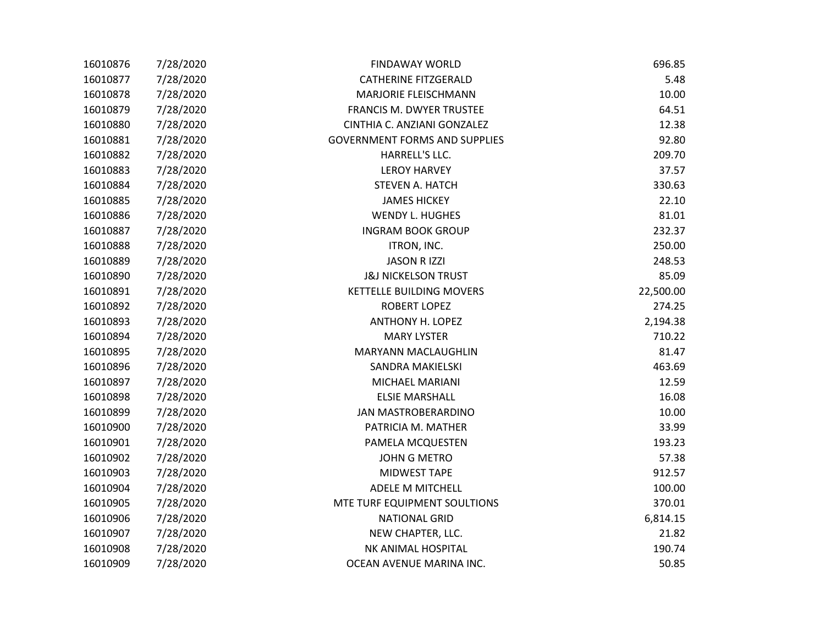| 16010876 | 7/28/2020 | <b>FINDAWAY WORLD</b>                | 696.85    |
|----------|-----------|--------------------------------------|-----------|
| 16010877 | 7/28/2020 | <b>CATHERINE FITZGERALD</b>          | 5.48      |
| 16010878 | 7/28/2020 | <b>MARJORIE FLEISCHMANN</b>          | 10.00     |
| 16010879 | 7/28/2020 | FRANCIS M. DWYER TRUSTEE             | 64.51     |
| 16010880 | 7/28/2020 | CINTHIA C. ANZIANI GONZALEZ          | 12.38     |
| 16010881 | 7/28/2020 | <b>GOVERNMENT FORMS AND SUPPLIES</b> | 92.80     |
| 16010882 | 7/28/2020 | HARRELL'S LLC.                       | 209.70    |
| 16010883 | 7/28/2020 | <b>LEROY HARVEY</b>                  | 37.57     |
| 16010884 | 7/28/2020 | <b>STEVEN A. HATCH</b>               | 330.63    |
| 16010885 | 7/28/2020 | <b>JAMES HICKEY</b>                  | 22.10     |
| 16010886 | 7/28/2020 | <b>WENDY L. HUGHES</b>               | 81.01     |
| 16010887 | 7/28/2020 | <b>INGRAM BOOK GROUP</b>             | 232.37    |
| 16010888 | 7/28/2020 | ITRON, INC.                          | 250.00    |
| 16010889 | 7/28/2020 | <b>JASON R IZZI</b>                  | 248.53    |
| 16010890 | 7/28/2020 | <b>J&amp;J NICKELSON TRUST</b>       | 85.09     |
| 16010891 | 7/28/2020 | <b>KETTELLE BUILDING MOVERS</b>      | 22,500.00 |
| 16010892 | 7/28/2020 | <b>ROBERT LOPEZ</b>                  | 274.25    |
| 16010893 | 7/28/2020 | <b>ANTHONY H. LOPEZ</b>              | 2,194.38  |
| 16010894 | 7/28/2020 | <b>MARY LYSTER</b>                   | 710.22    |
| 16010895 | 7/28/2020 | <b>MARYANN MACLAUGHLIN</b>           | 81.47     |
| 16010896 | 7/28/2020 | SANDRA MAKIELSKI                     | 463.69    |
| 16010897 | 7/28/2020 | MICHAEL MARIANI                      | 12.59     |
| 16010898 | 7/28/2020 | <b>ELSIE MARSHALL</b>                | 16.08     |
| 16010899 | 7/28/2020 | <b>JAN MASTROBERARDINO</b>           | 10.00     |
| 16010900 | 7/28/2020 | PATRICIA M. MATHER                   | 33.99     |
| 16010901 | 7/28/2020 | PAMELA MCQUESTEN                     | 193.23    |
| 16010902 | 7/28/2020 | <b>JOHN G METRO</b>                  | 57.38     |
| 16010903 | 7/28/2020 | <b>MIDWEST TAPE</b>                  | 912.57    |
| 16010904 | 7/28/2020 | ADELE M MITCHELL                     | 100.00    |
| 16010905 | 7/28/2020 | MTE TURF EQUIPMENT SOULTIONS         | 370.01    |
| 16010906 | 7/28/2020 | <b>NATIONAL GRID</b>                 | 6,814.15  |
| 16010907 | 7/28/2020 | NEW CHAPTER, LLC.                    | 21.82     |
| 16010908 | 7/28/2020 | NK ANIMAL HOSPITAL                   | 190.74    |
| 16010909 | 7/28/2020 | OCEAN AVENUE MARINA INC.             | 50.85     |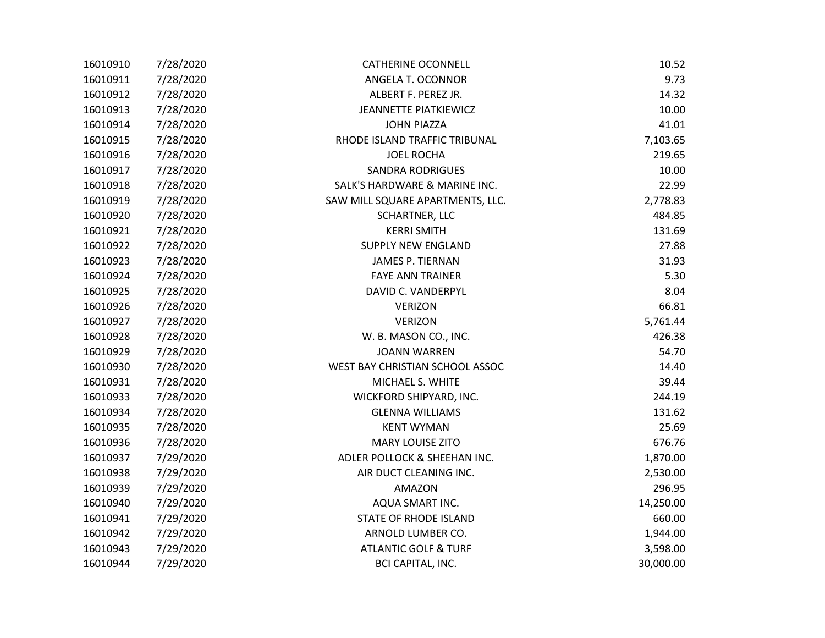| 16010910 | 7/28/2020 | <b>CATHERINE OCONNELL</b>        | 10.52     |
|----------|-----------|----------------------------------|-----------|
| 16010911 | 7/28/2020 | ANGELA T. OCONNOR                | 9.73      |
| 16010912 | 7/28/2020 | ALBERT F. PEREZ JR.              | 14.32     |
| 16010913 | 7/28/2020 | <b>JEANNETTE PIATKIEWICZ</b>     | 10.00     |
| 16010914 | 7/28/2020 | <b>JOHN PIAZZA</b>               | 41.01     |
| 16010915 | 7/28/2020 | RHODE ISLAND TRAFFIC TRIBUNAL    | 7,103.65  |
| 16010916 | 7/28/2020 | <b>JOEL ROCHA</b>                | 219.65    |
| 16010917 | 7/28/2020 | <b>SANDRA RODRIGUES</b>          | 10.00     |
| 16010918 | 7/28/2020 | SALK'S HARDWARE & MARINE INC.    | 22.99     |
| 16010919 | 7/28/2020 | SAW MILL SQUARE APARTMENTS, LLC. | 2,778.83  |
| 16010920 | 7/28/2020 | <b>SCHARTNER, LLC</b>            | 484.85    |
| 16010921 | 7/28/2020 | <b>KERRI SMITH</b>               | 131.69    |
| 16010922 | 7/28/2020 | <b>SUPPLY NEW ENGLAND</b>        | 27.88     |
| 16010923 | 7/28/2020 | <b>JAMES P. TIERNAN</b>          | 31.93     |
| 16010924 | 7/28/2020 | <b>FAYE ANN TRAINER</b>          | 5.30      |
| 16010925 | 7/28/2020 | DAVID C. VANDERPYL               | 8.04      |
| 16010926 | 7/28/2020 | <b>VERIZON</b>                   | 66.81     |
| 16010927 | 7/28/2020 | <b>VERIZON</b>                   | 5,761.44  |
| 16010928 | 7/28/2020 | W. B. MASON CO., INC.            | 426.38    |
| 16010929 | 7/28/2020 | <b>JOANN WARREN</b>              | 54.70     |
| 16010930 | 7/28/2020 | WEST BAY CHRISTIAN SCHOOL ASSOC  | 14.40     |
| 16010931 | 7/28/2020 | MICHAEL S. WHITE                 | 39.44     |
| 16010933 | 7/28/2020 | WICKFORD SHIPYARD, INC.          | 244.19    |
| 16010934 | 7/28/2020 | <b>GLENNA WILLIAMS</b>           | 131.62    |
| 16010935 | 7/28/2020 | <b>KENT WYMAN</b>                | 25.69     |
| 16010936 | 7/28/2020 | <b>MARY LOUISE ZITO</b>          | 676.76    |
| 16010937 | 7/29/2020 | ADLER POLLOCK & SHEEHAN INC.     | 1,870.00  |
| 16010938 | 7/29/2020 | AIR DUCT CLEANING INC.           | 2,530.00  |
| 16010939 | 7/29/2020 | <b>AMAZON</b>                    | 296.95    |
| 16010940 | 7/29/2020 | AQUA SMART INC.                  | 14,250.00 |
| 16010941 | 7/29/2020 | <b>STATE OF RHODE ISLAND</b>     | 660.00    |
| 16010942 | 7/29/2020 | ARNOLD LUMBER CO.                | 1,944.00  |
| 16010943 | 7/29/2020 | <b>ATLANTIC GOLF &amp; TURF</b>  | 3,598.00  |
| 16010944 | 7/29/2020 | <b>BCI CAPITAL, INC.</b>         | 30,000.00 |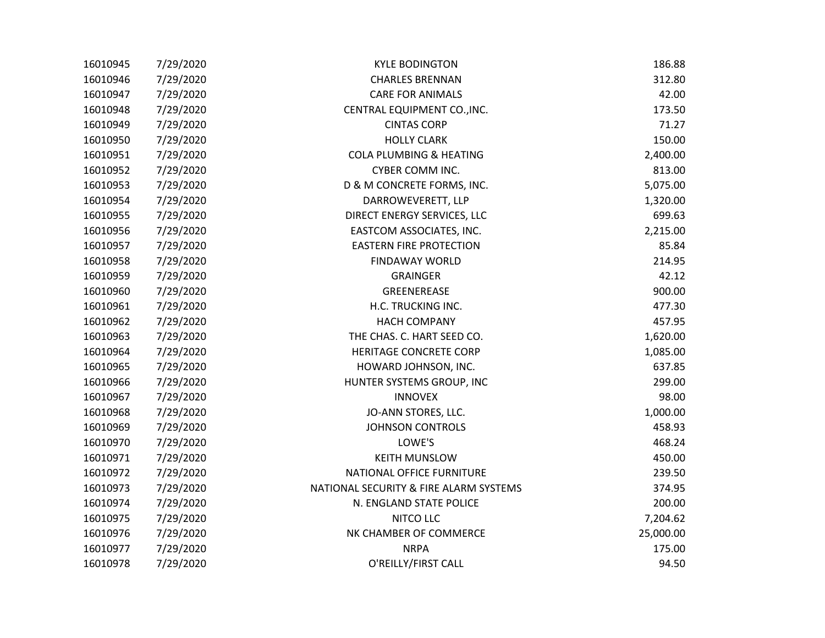| 16010945 | 7/29/2020 | <b>KYLE BODINGTON</b>                  | 186.88    |
|----------|-----------|----------------------------------------|-----------|
| 16010946 | 7/29/2020 | <b>CHARLES BRENNAN</b>                 | 312.80    |
| 16010947 | 7/29/2020 | <b>CARE FOR ANIMALS</b>                | 42.00     |
| 16010948 | 7/29/2020 | CENTRAL EQUIPMENT CO., INC.            | 173.50    |
| 16010949 | 7/29/2020 | <b>CINTAS CORP</b>                     | 71.27     |
| 16010950 | 7/29/2020 | <b>HOLLY CLARK</b>                     | 150.00    |
| 16010951 | 7/29/2020 | COLA PLUMBING & HEATING                | 2,400.00  |
| 16010952 | 7/29/2020 | CYBER COMM INC.                        | 813.00    |
| 16010953 | 7/29/2020 | D & M CONCRETE FORMS, INC.             | 5,075.00  |
| 16010954 | 7/29/2020 | DARROWEVERETT, LLP                     | 1,320.00  |
| 16010955 | 7/29/2020 | DIRECT ENERGY SERVICES, LLC            | 699.63    |
| 16010956 | 7/29/2020 | EASTCOM ASSOCIATES, INC.               | 2,215.00  |
| 16010957 | 7/29/2020 | <b>EASTERN FIRE PROTECTION</b>         | 85.84     |
| 16010958 | 7/29/2020 | <b>FINDAWAY WORLD</b>                  | 214.95    |
| 16010959 | 7/29/2020 | <b>GRAINGER</b>                        | 42.12     |
| 16010960 | 7/29/2020 | GREENEREASE                            | 900.00    |
| 16010961 | 7/29/2020 | H.C. TRUCKING INC.                     | 477.30    |
| 16010962 | 7/29/2020 | <b>HACH COMPANY</b>                    | 457.95    |
| 16010963 | 7/29/2020 | THE CHAS. C. HART SEED CO.             | 1,620.00  |
| 16010964 | 7/29/2020 | HERITAGE CONCRETE CORP                 | 1,085.00  |
| 16010965 | 7/29/2020 | HOWARD JOHNSON, INC.                   | 637.85    |
| 16010966 | 7/29/2020 | HUNTER SYSTEMS GROUP, INC              | 299.00    |
| 16010967 | 7/29/2020 | <b>INNOVEX</b>                         | 98.00     |
| 16010968 | 7/29/2020 | JO-ANN STORES, LLC.                    | 1,000.00  |
| 16010969 | 7/29/2020 | <b>JOHNSON CONTROLS</b>                | 458.93    |
| 16010970 | 7/29/2020 | LOWE'S                                 | 468.24    |
| 16010971 | 7/29/2020 | <b>KEITH MUNSLOW</b>                   | 450.00    |
| 16010972 | 7/29/2020 | NATIONAL OFFICE FURNITURE              | 239.50    |
| 16010973 | 7/29/2020 | NATIONAL SECURITY & FIRE ALARM SYSTEMS | 374.95    |
| 16010974 | 7/29/2020 | N. ENGLAND STATE POLICE                | 200.00    |
| 16010975 | 7/29/2020 | NITCO LLC                              | 7,204.62  |
| 16010976 | 7/29/2020 | NK CHAMBER OF COMMERCE                 | 25,000.00 |
| 16010977 | 7/29/2020 | <b>NRPA</b>                            | 175.00    |
| 16010978 | 7/29/2020 | O'REILLY/FIRST CALL                    | 94.50     |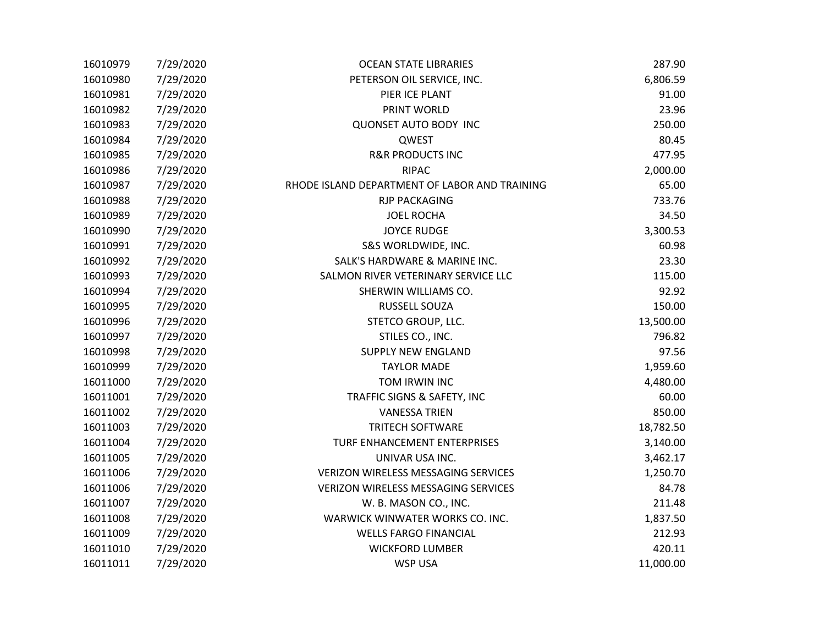| 16010979 | 7/29/2020 | <b>OCEAN STATE LIBRARIES</b>                  | 287.90    |
|----------|-----------|-----------------------------------------------|-----------|
| 16010980 | 7/29/2020 | PETERSON OIL SERVICE, INC.                    | 6,806.59  |
| 16010981 | 7/29/2020 | PIER ICE PLANT                                | 91.00     |
| 16010982 | 7/29/2020 | PRINT WORLD                                   | 23.96     |
| 16010983 | 7/29/2020 | <b>QUONSET AUTO BODY INC</b>                  | 250.00    |
| 16010984 | 7/29/2020 | QWEST                                         | 80.45     |
| 16010985 | 7/29/2020 | <b>R&amp;R PRODUCTS INC</b>                   | 477.95    |
| 16010986 | 7/29/2020 | <b>RIPAC</b>                                  | 2,000.00  |
| 16010987 | 7/29/2020 | RHODE ISLAND DEPARTMENT OF LABOR AND TRAINING | 65.00     |
| 16010988 | 7/29/2020 | <b>RJP PACKAGING</b>                          | 733.76    |
| 16010989 | 7/29/2020 | <b>JOEL ROCHA</b>                             | 34.50     |
| 16010990 | 7/29/2020 | <b>JOYCE RUDGE</b>                            | 3,300.53  |
| 16010991 | 7/29/2020 | S&S WORLDWIDE, INC.                           | 60.98     |
| 16010992 | 7/29/2020 | SALK'S HARDWARE & MARINE INC.                 | 23.30     |
| 16010993 | 7/29/2020 | SALMON RIVER VETERINARY SERVICE LLC           | 115.00    |
| 16010994 | 7/29/2020 | SHERWIN WILLIAMS CO.                          | 92.92     |
| 16010995 | 7/29/2020 | RUSSELL SOUZA                                 | 150.00    |
| 16010996 | 7/29/2020 | STETCO GROUP, LLC.                            | 13,500.00 |
| 16010997 | 7/29/2020 | STILES CO., INC.                              | 796.82    |
| 16010998 | 7/29/2020 | <b>SUPPLY NEW ENGLAND</b>                     | 97.56     |
| 16010999 | 7/29/2020 | <b>TAYLOR MADE</b>                            | 1,959.60  |
| 16011000 | 7/29/2020 | TOM IRWIN INC                                 | 4,480.00  |
| 16011001 | 7/29/2020 | TRAFFIC SIGNS & SAFETY, INC                   | 60.00     |
| 16011002 | 7/29/2020 | <b>VANESSA TRIEN</b>                          | 850.00    |
| 16011003 | 7/29/2020 | <b>TRITECH SOFTWARE</b>                       | 18,782.50 |
| 16011004 | 7/29/2020 | TURF ENHANCEMENT ENTERPRISES                  | 3,140.00  |
| 16011005 | 7/29/2020 | UNIVAR USA INC.                               | 3,462.17  |
| 16011006 | 7/29/2020 | VERIZON WIRELESS MESSAGING SERVICES           | 1,250.70  |
| 16011006 | 7/29/2020 | VERIZON WIRELESS MESSAGING SERVICES           | 84.78     |
| 16011007 | 7/29/2020 | W. B. MASON CO., INC.                         | 211.48    |
| 16011008 | 7/29/2020 | WARWICK WINWATER WORKS CO. INC.               | 1,837.50  |
| 16011009 | 7/29/2020 | <b>WELLS FARGO FINANCIAL</b>                  | 212.93    |
| 16011010 | 7/29/2020 | <b>WICKFORD LUMBER</b>                        | 420.11    |
| 16011011 | 7/29/2020 | <b>WSP USA</b>                                | 11,000.00 |